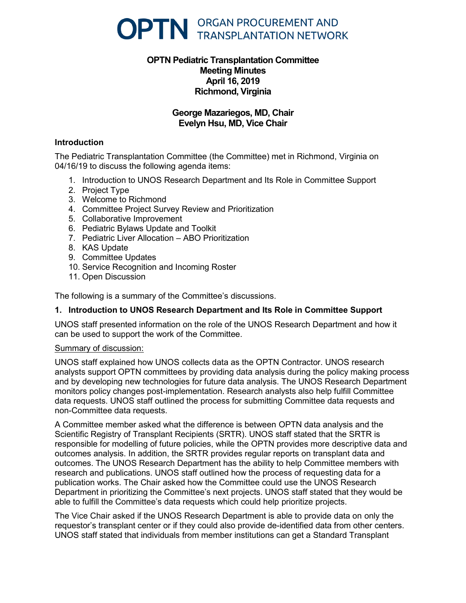

# **OPTN Pediatric Transplantation Committee Meeting Minutes April 16, 2019 Richmond, Virginia**

# **George Mazariegos, MD, Chair Evelyn Hsu, MD, Vice Chair**

### **Introduction**

The Pediatric Transplantation Committee (the Committee) met in Richmond, Virginia on 04/16/19 to discuss the following agenda items:

- 1. Introduction to UNOS Research Department and Its Role in Committee Support
- 2. Project Type
- 3. Welcome to Richmond
- 4. Committee Project Survey Review and Prioritization
- 5. Collaborative Improvement
- 6. Pediatric Bylaws Update and Toolkit
- 7. Pediatric Liver Allocation ABO Prioritization
- 8. KAS Update
- 9. Committee Updates
- 10. Service Recognition and Incoming Roster
- 11. Open Discussion

The following is a summary of the Committee's discussions.

# **1. Introduction to UNOS Research Department and Its Role in Committee Support**

UNOS staff presented information on the role of the UNOS Research Department and how it can be used to support the work of the Committee.

#### Summary of discussion:

UNOS staff explained how UNOS collects data as the OPTN Contractor. UNOS research analysts support OPTN committees by providing data analysis during the policy making process and by developing new technologies for future data analysis. The UNOS Research Department monitors policy changes post-implementation. Research analysts also help fulfill Committee data requests. UNOS staff outlined the process for submitting Committee data requests and non-Committee data requests.

A Committee member asked what the difference is between OPTN data analysis and the Scientific Registry of Transplant Recipients (SRTR). UNOS staff stated that the SRTR is responsible for modelling of future policies, while the OPTN provides more descriptive data and outcomes analysis. In addition, the SRTR provides regular reports on transplant data and outcomes. The UNOS Research Department has the ability to help Committee members with research and publications. UNOS staff outlined how the process of requesting data for a publication works. The Chair asked how the Committee could use the UNOS Research Department in prioritizing the Committee's next projects. UNOS staff stated that they would be able to fulfill the Committee's data requests which could help prioritize projects.

The Vice Chair asked if the UNOS Research Department is able to provide data on only the requestor's transplant center or if they could also provide de-identified data from other centers. UNOS staff stated that individuals from member institutions can get a Standard Transplant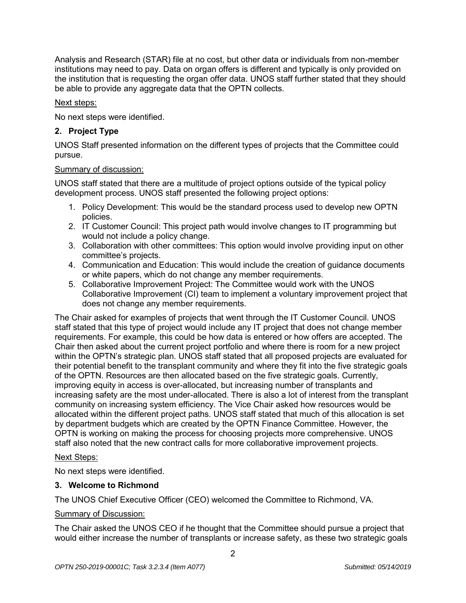Analysis and Research (STAR) file at no cost, but other data or individuals from non-member institutions may need to pay. Data on organ offers is different and typically is only provided on the institution that is requesting the organ offer data. UNOS staff further stated that they should be able to provide any aggregate data that the OPTN collects.

### Next steps:

No next steps were identified.

# **2. Project Type**

UNOS Staff presented information on the different types of projects that the Committee could pursue.

### Summary of discussion:

UNOS staff stated that there are a multitude of project options outside of the typical policy development process. UNOS staff presented the following project options:

- 1. Policy Development: This would be the standard process used to develop new OPTN policies.
- 2. IT Customer Council: This project path would involve changes to IT programming but would not include a policy change.
- 3. Collaboration with other committees: This option would involve providing input on other committee's projects.
- 4. Communication and Education: This would include the creation of guidance documents or white papers, which do not change any member requirements.
- 5. Collaborative Improvement Project: The Committee would work with the UNOS Collaborative Improvement (CI) team to implement a voluntary improvement project that does not change any member requirements.

The Chair asked for examples of projects that went through the IT Customer Council. UNOS staff stated that this type of project would include any IT project that does not change member requirements. For example, this could be how data is entered or how offers are accepted. The Chair then asked about the current project portfolio and where there is room for a new project within the OPTN's strategic plan. UNOS staff stated that all proposed projects are evaluated for their potential benefit to the transplant community and where they fit into the five strategic goals of the OPTN. Resources are then allocated based on the five strategic goals. Currently, improving equity in access is over-allocated, but increasing number of transplants and increasing safety are the most under-allocated. There is also a lot of interest from the transplant community on increasing system efficiency. The Vice Chair asked how resources would be allocated within the different project paths. UNOS staff stated that much of this allocation is set by department budgets which are created by the OPTN Finance Committee. However, the OPTN is working on making the process for choosing projects more comprehensive. UNOS staff also noted that the new contract calls for more collaborative improvement projects.

# Next Steps:

No next steps were identified.

# **3. Welcome to Richmond**

The UNOS Chief Executive Officer (CEO) welcomed the Committee to Richmond, VA.

#### Summary of Discussion:

The Chair asked the UNOS CEO if he thought that the Committee should pursue a project that would either increase the number of transplants or increase safety, as these two strategic goals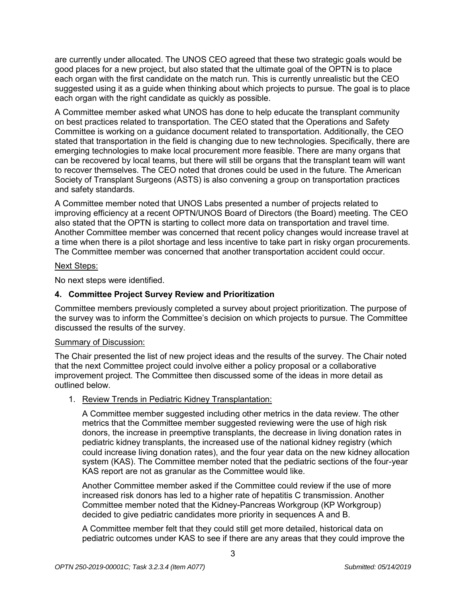are currently under allocated. The UNOS CEO agreed that these two strategic goals would be good places for a new project, but also stated that the ultimate goal of the OPTN is to place each organ with the first candidate on the match run. This is currently unrealistic but the CEO suggested using it as a guide when thinking about which projects to pursue. The goal is to place each organ with the right candidate as quickly as possible.

A Committee member asked what UNOS has done to help educate the transplant community on best practices related to transportation. The CEO stated that the Operations and Safety Committee is working on a guidance document related to transportation. Additionally, the CEO stated that transportation in the field is changing due to new technologies. Specifically, there are emerging technologies to make local procurement more feasible. There are many organs that can be recovered by local teams, but there will still be organs that the transplant team will want to recover themselves. The CEO noted that drones could be used in the future. The American Society of Transplant Surgeons (ASTS) is also convening a group on transportation practices and safety standards.

A Committee member noted that UNOS Labs presented a number of projects related to improving efficiency at a recent OPTN/UNOS Board of Directors (the Board) meeting. The CEO also stated that the OPTN is starting to collect more data on transportation and travel time. Another Committee member was concerned that recent policy changes would increase travel at a time when there is a pilot shortage and less incentive to take part in risky organ procurements. The Committee member was concerned that another transportation accident could occur.

### Next Steps:

No next steps were identified.

# **4. Committee Project Survey Review and Prioritization**

Committee members previously completed a survey about project prioritization. The purpose of the survey was to inform the Committee's decision on which projects to pursue. The Committee discussed the results of the survey.

# Summary of Discussion:

The Chair presented the list of new project ideas and the results of the survey. The Chair noted that the next Committee project could involve either a policy proposal or a collaborative improvement project. The Committee then discussed some of the ideas in more detail as outlined below.

1. Review Trends in Pediatric Kidney Transplantation:

A Committee member suggested including other metrics in the data review. The other metrics that the Committee member suggested reviewing were the use of high risk donors, the increase in preemptive transplants, the decrease in living donation rates in pediatric kidney transplants, the increased use of the national kidney registry (which could increase living donation rates), and the four year data on the new kidney allocation system (KAS). The Committee member noted that the pediatric sections of the four-year KAS report are not as granular as the Committee would like.

Another Committee member asked if the Committee could review if the use of more increased risk donors has led to a higher rate of hepatitis C transmission. Another Committee member noted that the Kidney-Pancreas Workgroup (KP Workgroup) decided to give pediatric candidates more priority in sequences A and B.

A Committee member felt that they could still get more detailed, historical data on pediatric outcomes under KAS to see if there are any areas that they could improve the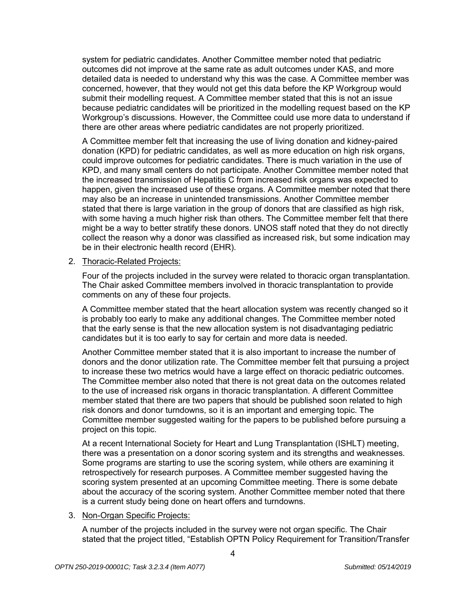system for pediatric candidates. Another Committee member noted that pediatric outcomes did not improve at the same rate as adult outcomes under KAS, and more detailed data is needed to understand why this was the case. A Committee member was concerned, however, that they would not get this data before the KP Workgroup would submit their modelling request. A Committee member stated that this is not an issue because pediatric candidates will be prioritized in the modelling request based on the KP Workgroup's discussions. However, the Committee could use more data to understand if there are other areas where pediatric candidates are not properly prioritized.

A Committee member felt that increasing the use of living donation and kidney-paired donation (KPD) for pediatric candidates, as well as more education on high risk organs, could improve outcomes for pediatric candidates. There is much variation in the use of KPD, and many small centers do not participate. Another Committee member noted that the increased transmission of Hepatitis C from increased risk organs was expected to happen, given the increased use of these organs. A Committee member noted that there may also be an increase in unintended transmissions. Another Committee member stated that there is large variation in the group of donors that are classified as high risk, with some having a much higher risk than others. The Committee member felt that there might be a way to better stratify these donors. UNOS staff noted that they do not directly collect the reason why a donor was classified as increased risk, but some indication may be in their electronic health record (EHR).

### 2. Thoracic-Related Projects:

Four of the projects included in the survey were related to thoracic organ transplantation. The Chair asked Committee members involved in thoracic transplantation to provide comments on any of these four projects.

A Committee member stated that the heart allocation system was recently changed so it is probably too early to make any additional changes. The Committee member noted that the early sense is that the new allocation system is not disadvantaging pediatric candidates but it is too early to say for certain and more data is needed.

Another Committee member stated that it is also important to increase the number of donors and the donor utilization rate. The Committee member felt that pursuing a project to increase these two metrics would have a large effect on thoracic pediatric outcomes. The Committee member also noted that there is not great data on the outcomes related to the use of increased risk organs in thoracic transplantation. A different Committee member stated that there are two papers that should be published soon related to high risk donors and donor turndowns, so it is an important and emerging topic. The Committee member suggested waiting for the papers to be published before pursuing a project on this topic.

At a recent International Society for Heart and Lung Transplantation (ISHLT) meeting, there was a presentation on a donor scoring system and its strengths and weaknesses. Some programs are starting to use the scoring system, while others are examining it retrospectively for research purposes. A Committee member suggested having the scoring system presented at an upcoming Committee meeting. There is some debate about the accuracy of the scoring system. Another Committee member noted that there is a current study being done on heart offers and turndowns.

#### 3. Non-Organ Specific Projects:

A number of the projects included in the survey were not organ specific. The Chair stated that the project titled, "Establish OPTN Policy Requirement for Transition/Transfer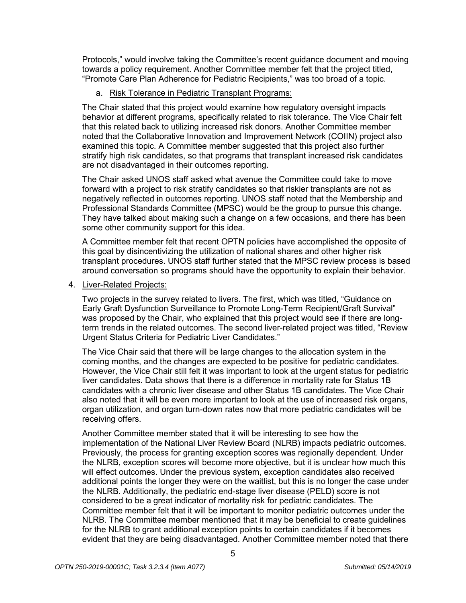Protocols," would involve taking the Committee's recent guidance document and moving towards a policy requirement. Another Committee member felt that the project titled, "Promote Care Plan Adherence for Pediatric Recipients," was too broad of a topic.

# a. Risk Tolerance in Pediatric Transplant Programs:

The Chair stated that this project would examine how regulatory oversight impacts behavior at different programs, specifically related to risk tolerance. The Vice Chair felt that this related back to utilizing increased risk donors. Another Committee member noted that the Collaborative Innovation and Improvement Network (COIIN) project also examined this topic. A Committee member suggested that this project also further stratify high risk candidates, so that programs that transplant increased risk candidates are not disadvantaged in their outcomes reporting.

The Chair asked UNOS staff asked what avenue the Committee could take to move forward with a project to risk stratify candidates so that riskier transplants are not as negatively reflected in outcomes reporting. UNOS staff noted that the Membership and Professional Standards Committee (MPSC) would be the group to pursue this change. They have talked about making such a change on a few occasions, and there has been some other community support for this idea.

A Committee member felt that recent OPTN policies have accomplished the opposite of this goal by disincentivizing the utilization of national shares and other higher risk transplant procedures. UNOS staff further stated that the MPSC review process is based around conversation so programs should have the opportunity to explain their behavior.

# 4. Liver-Related Projects:

Two projects in the survey related to livers. The first, which was titled, "Guidance on Early Graft Dysfunction Surveillance to Promote Long-Term Recipient/Graft Survival" was proposed by the Chair, who explained that this project would see if there are longterm trends in the related outcomes. The second liver-related project was titled, "Review Urgent Status Criteria for Pediatric Liver Candidates."

The Vice Chair said that there will be large changes to the allocation system in the coming months, and the changes are expected to be positive for pediatric candidates. However, the Vice Chair still felt it was important to look at the urgent status for pediatric liver candidates. Data shows that there is a difference in mortality rate for Status 1B candidates with a chronic liver disease and other Status 1B candidates. The Vice Chair also noted that it will be even more important to look at the use of increased risk organs, organ utilization, and organ turn-down rates now that more pediatric candidates will be receiving offers.

Another Committee member stated that it will be interesting to see how the implementation of the National Liver Review Board (NLRB) impacts pediatric outcomes. Previously, the process for granting exception scores was regionally dependent. Under the NLRB, exception scores will become more objective, but it is unclear how much this will effect outcomes. Under the previous system, exception candidates also received additional points the longer they were on the waitlist, but this is no longer the case under the NLRB. Additionally, the pediatric end-stage liver disease (PELD) score is not considered to be a great indicator of mortality risk for pediatric candidates. The Committee member felt that it will be important to monitor pediatric outcomes under the NLRB. The Committee member mentioned that it may be beneficial to create guidelines for the NLRB to grant additional exception points to certain candidates if it becomes evident that they are being disadvantaged. Another Committee member noted that there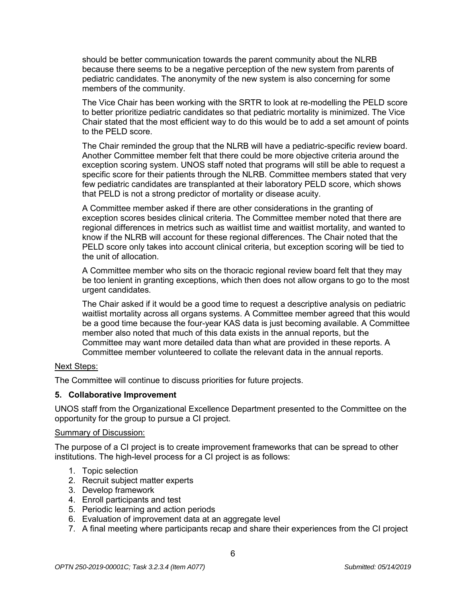should be better communication towards the parent community about the NLRB because there seems to be a negative perception of the new system from parents of pediatric candidates. The anonymity of the new system is also concerning for some members of the community.

The Vice Chair has been working with the SRTR to look at re-modelling the PELD score to better prioritize pediatric candidates so that pediatric mortality is minimized. The Vice Chair stated that the most efficient way to do this would be to add a set amount of points to the PELD score.

The Chair reminded the group that the NLRB will have a pediatric-specific review board. Another Committee member felt that there could be more objective criteria around the exception scoring system. UNOS staff noted that programs will still be able to request a specific score for their patients through the NLRB. Committee members stated that very few pediatric candidates are transplanted at their laboratory PELD score, which shows that PELD is not a strong predictor of mortality or disease acuity.

A Committee member asked if there are other considerations in the granting of exception scores besides clinical criteria. The Committee member noted that there are regional differences in metrics such as waitlist time and waitlist mortality, and wanted to know if the NLRB will account for these regional differences. The Chair noted that the PELD score only takes into account clinical criteria, but exception scoring will be tied to the unit of allocation.

A Committee member who sits on the thoracic regional review board felt that they may be too lenient in granting exceptions, which then does not allow organs to go to the most urgent candidates.

The Chair asked if it would be a good time to request a descriptive analysis on pediatric waitlist mortality across all organs systems. A Committee member agreed that this would be a good time because the four-year KAS data is just becoming available. A Committee member also noted that much of this data exists in the annual reports, but the Committee may want more detailed data than what are provided in these reports. A Committee member volunteered to collate the relevant data in the annual reports.

#### Next Steps:

The Committee will continue to discuss priorities for future projects.

# **5. Collaborative Improvement**

UNOS staff from the Organizational Excellence Department presented to the Committee on the opportunity for the group to pursue a CI project.

#### Summary of Discussion:

The purpose of a CI project is to create improvement frameworks that can be spread to other institutions. The high-level process for a CI project is as follows:

- 1. Topic selection
- 2. Recruit subject matter experts
- 3. Develop framework
- 4. Enroll participants and test
- 5. Periodic learning and action periods
- 6. Evaluation of improvement data at an aggregate level
- 7. A final meeting where participants recap and share their experiences from the CI project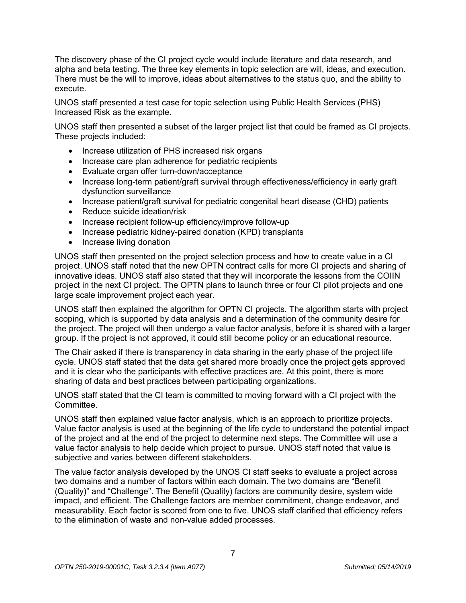The discovery phase of the CI project cycle would include literature and data research, and alpha and beta testing. The three key elements in topic selection are will, ideas, and execution. There must be the will to improve, ideas about alternatives to the status quo, and the ability to execute.

UNOS staff presented a test case for topic selection using Public Health Services (PHS) Increased Risk as the example.

UNOS staff then presented a subset of the larger project list that could be framed as CI projects. These projects included:

- Increase utilization of PHS increased risk organs
- Increase care plan adherence for pediatric recipients
- Evaluate organ offer turn-down/acceptance
- Increase long-term patient/graft survival through effectiveness/efficiency in early graft dysfunction surveillance
- Increase patient/graft survival for pediatric congenital heart disease (CHD) patients
- Reduce suicide ideation/risk
- Increase recipient follow-up efficiency/improve follow-up
- Increase pediatric kidney-paired donation (KPD) transplants
- Increase living donation

UNOS staff then presented on the project selection process and how to create value in a CI project. UNOS staff noted that the new OPTN contract calls for more CI projects and sharing of innovative ideas. UNOS staff also stated that they will incorporate the lessons from the COIIN project in the next CI project. The OPTN plans to launch three or four CI pilot projects and one large scale improvement project each year.

UNOS staff then explained the algorithm for OPTN CI projects. The algorithm starts with project scoping, which is supported by data analysis and a determination of the community desire for the project. The project will then undergo a value factor analysis, before it is shared with a larger group. If the project is not approved, it could still become policy or an educational resource.

The Chair asked if there is transparency in data sharing in the early phase of the project life cycle. UNOS staff stated that the data get shared more broadly once the project gets approved and it is clear who the participants with effective practices are. At this point, there is more sharing of data and best practices between participating organizations.

UNOS staff stated that the CI team is committed to moving forward with a CI project with the **Committee.** 

UNOS staff then explained value factor analysis, which is an approach to prioritize projects. Value factor analysis is used at the beginning of the life cycle to understand the potential impact of the project and at the end of the project to determine next steps. The Committee will use a value factor analysis to help decide which project to pursue. UNOS staff noted that value is subjective and varies between different stakeholders.

The value factor analysis developed by the UNOS CI staff seeks to evaluate a project across two domains and a number of factors within each domain. The two domains are "Benefit (Quality)" and "Challenge". The Benefit (Quality) factors are community desire, system wide impact, and efficient. The Challenge factors are member commitment, change endeavor, and measurability. Each factor is scored from one to five. UNOS staff clarified that efficiency refers to the elimination of waste and non-value added processes.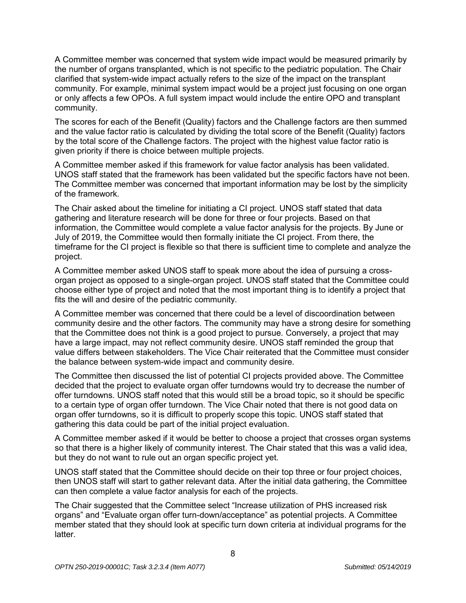A Committee member was concerned that system wide impact would be measured primarily by the number of organs transplanted, which is not specific to the pediatric population. The Chair clarified that system-wide impact actually refers to the size of the impact on the transplant community. For example, minimal system impact would be a project just focusing on one organ or only affects a few OPOs. A full system impact would include the entire OPO and transplant community.

The scores for each of the Benefit (Quality) factors and the Challenge factors are then summed and the value factor ratio is calculated by dividing the total score of the Benefit (Quality) factors by the total score of the Challenge factors. The project with the highest value factor ratio is given priority if there is choice between multiple projects.

A Committee member asked if this framework for value factor analysis has been validated. UNOS staff stated that the framework has been validated but the specific factors have not been. The Committee member was concerned that important information may be lost by the simplicity of the framework.

The Chair asked about the timeline for initiating a CI project. UNOS staff stated that data gathering and literature research will be done for three or four projects. Based on that information, the Committee would complete a value factor analysis for the projects. By June or July of 2019, the Committee would then formally initiate the CI project. From there, the timeframe for the CI project is flexible so that there is sufficient time to complete and analyze the project.

A Committee member asked UNOS staff to speak more about the idea of pursuing a crossorgan project as opposed to a single-organ project. UNOS staff stated that the Committee could choose either type of project and noted that the most important thing is to identify a project that fits the will and desire of the pediatric community.

A Committee member was concerned that there could be a level of discoordination between community desire and the other factors. The community may have a strong desire for something that the Committee does not think is a good project to pursue. Conversely, a project that may have a large impact, may not reflect community desire. UNOS staff reminded the group that value differs between stakeholders. The Vice Chair reiterated that the Committee must consider the balance between system-wide impact and community desire.

The Committee then discussed the list of potential CI projects provided above. The Committee decided that the project to evaluate organ offer turndowns would try to decrease the number of offer turndowns. UNOS staff noted that this would still be a broad topic, so it should be specific to a certain type of organ offer turndown. The Vice Chair noted that there is not good data on organ offer turndowns, so it is difficult to properly scope this topic. UNOS staff stated that gathering this data could be part of the initial project evaluation.

A Committee member asked if it would be better to choose a project that crosses organ systems so that there is a higher likely of community interest. The Chair stated that this was a valid idea, but they do not want to rule out an organ specific project yet.

UNOS staff stated that the Committee should decide on their top three or four project choices, then UNOS staff will start to gather relevant data. After the initial data gathering, the Committee can then complete a value factor analysis for each of the projects.

The Chair suggested that the Committee select "Increase utilization of PHS increased risk organs" and "Evaluate organ offer turn-down/acceptance" as potential projects. A Committee member stated that they should look at specific turn down criteria at individual programs for the latter.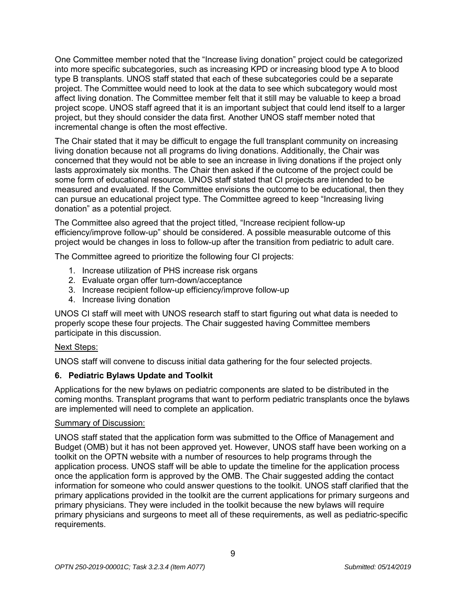One Committee member noted that the "Increase living donation" project could be categorized into more specific subcategories, such as increasing KPD or increasing blood type A to blood type B transplants. UNOS staff stated that each of these subcategories could be a separate project. The Committee would need to look at the data to see which subcategory would most affect living donation. The Committee member felt that it still may be valuable to keep a broad project scope. UNOS staff agreed that it is an important subject that could lend itself to a larger project, but they should consider the data first. Another UNOS staff member noted that incremental change is often the most effective.

The Chair stated that it may be difficult to engage the full transplant community on increasing living donation because not all programs do living donations. Additionally, the Chair was concerned that they would not be able to see an increase in living donations if the project only lasts approximately six months. The Chair then asked if the outcome of the project could be some form of educational resource. UNOS staff stated that CI projects are intended to be measured and evaluated. If the Committee envisions the outcome to be educational, then they can pursue an educational project type. The Committee agreed to keep "Increasing living donation" as a potential project.

The Committee also agreed that the project titled, "Increase recipient follow-up efficiency/improve follow-up" should be considered. A possible measurable outcome of this project would be changes in loss to follow-up after the transition from pediatric to adult care.

The Committee agreed to prioritize the following four CI projects:

- 1. Increase utilization of PHS increase risk organs
- 2. Evaluate organ offer turn-down/acceptance
- 3. Increase recipient follow-up efficiency/improve follow-up
- 4. Increase living donation

UNOS CI staff will meet with UNOS research staff to start figuring out what data is needed to properly scope these four projects. The Chair suggested having Committee members participate in this discussion.

#### Next Steps:

UNOS staff will convene to discuss initial data gathering for the four selected projects.

# **6. Pediatric Bylaws Update and Toolkit**

Applications for the new bylaws on pediatric components are slated to be distributed in the coming months. Transplant programs that want to perform pediatric transplants once the bylaws are implemented will need to complete an application.

#### Summary of Discussion:

UNOS staff stated that the application form was submitted to the Office of Management and Budget (OMB) but it has not been approved yet. However, UNOS staff have been working on a toolkit on the OPTN website with a number of resources to help programs through the application process. UNOS staff will be able to update the timeline for the application process once the application form is approved by the OMB. The Chair suggested adding the contact information for someone who could answer questions to the toolkit. UNOS staff clarified that the primary applications provided in the toolkit are the current applications for primary surgeons and primary physicians. They were included in the toolkit because the new bylaws will require primary physicians and surgeons to meet all of these requirements, as well as pediatric-specific requirements.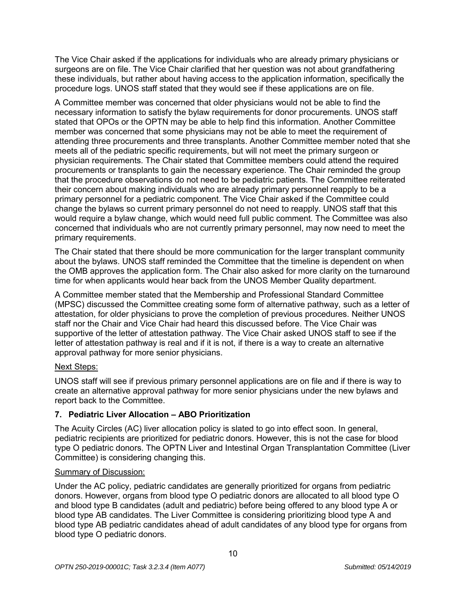The Vice Chair asked if the applications for individuals who are already primary physicians or surgeons are on file. The Vice Chair clarified that her question was not about grandfathering these individuals, but rather about having access to the application information, specifically the procedure logs. UNOS staff stated that they would see if these applications are on file.

A Committee member was concerned that older physicians would not be able to find the necessary information to satisfy the bylaw requirements for donor procurements. UNOS staff stated that OPOs or the OPTN may be able to help find this information. Another Committee member was concerned that some physicians may not be able to meet the requirement of attending three procurements and three transplants. Another Committee member noted that she meets all of the pediatric specific requirements, but will not meet the primary surgeon or physician requirements. The Chair stated that Committee members could attend the required procurements or transplants to gain the necessary experience. The Chair reminded the group that the procedure observations do not need to be pediatric patients. The Committee reiterated their concern about making individuals who are already primary personnel reapply to be a primary personnel for a pediatric component. The Vice Chair asked if the Committee could change the bylaws so current primary personnel do not need to reapply. UNOS staff that this would require a bylaw change, which would need full public comment. The Committee was also concerned that individuals who are not currently primary personnel, may now need to meet the primary requirements.

The Chair stated that there should be more communication for the larger transplant community about the bylaws. UNOS staff reminded the Committee that the timeline is dependent on when the OMB approves the application form. The Chair also asked for more clarity on the turnaround time for when applicants would hear back from the UNOS Member Quality department.

A Committee member stated that the Membership and Professional Standard Committee (MPSC) discussed the Committee creating some form of alternative pathway, such as a letter of attestation, for older physicians to prove the completion of previous procedures. Neither UNOS staff nor the Chair and Vice Chair had heard this discussed before. The Vice Chair was supportive of the letter of attestation pathway. The Vice Chair asked UNOS staff to see if the letter of attestation pathway is real and if it is not, if there is a way to create an alternative approval pathway for more senior physicians.

# Next Steps:

UNOS staff will see if previous primary personnel applications are on file and if there is way to create an alternative approval pathway for more senior physicians under the new bylaws and report back to the Committee.

# **7. Pediatric Liver Allocation – ABO Prioritization**

The Acuity Circles (AC) liver allocation policy is slated to go into effect soon. In general, pediatric recipients are prioritized for pediatric donors. However, this is not the case for blood type O pediatric donors. The OPTN Liver and Intestinal Organ Transplantation Committee (Liver Committee) is considering changing this.

# Summary of Discussion:

Under the AC policy, pediatric candidates are generally prioritized for organs from pediatric donors. However, organs from blood type O pediatric donors are allocated to all blood type O and blood type B candidates (adult and pediatric) before being offered to any blood type A or blood type AB candidates. The Liver Committee is considering prioritizing blood type A and blood type AB pediatric candidates ahead of adult candidates of any blood type for organs from blood type O pediatric donors.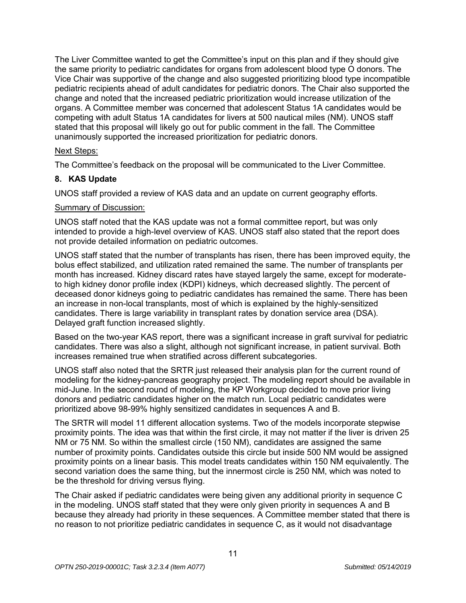The Liver Committee wanted to get the Committee's input on this plan and if they should give the same priority to pediatric candidates for organs from adolescent blood type O donors. The Vice Chair was supportive of the change and also suggested prioritizing blood type incompatible pediatric recipients ahead of adult candidates for pediatric donors. The Chair also supported the change and noted that the increased pediatric prioritization would increase utilization of the organs. A Committee member was concerned that adolescent Status 1A candidates would be competing with adult Status 1A candidates for livers at 500 nautical miles (NM). UNOS staff stated that this proposal will likely go out for public comment in the fall. The Committee unanimously supported the increased prioritization for pediatric donors.

# Next Steps:

The Committee's feedback on the proposal will be communicated to the Liver Committee.

# **8. KAS Update**

UNOS staff provided a review of KAS data and an update on current geography efforts.

#### Summary of Discussion:

UNOS staff noted that the KAS update was not a formal committee report, but was only intended to provide a high-level overview of KAS. UNOS staff also stated that the report does not provide detailed information on pediatric outcomes.

UNOS staff stated that the number of transplants has risen, there has been improved equity, the bolus effect stabilized, and utilization rated remained the same. The number of transplants per month has increased. Kidney discard rates have stayed largely the same, except for moderateto high kidney donor profile index (KDPI) kidneys, which decreased slightly. The percent of deceased donor kidneys going to pediatric candidates has remained the same. There has been an increase in non-local transplants, most of which is explained by the highly-sensitized candidates. There is large variability in transplant rates by donation service area (DSA). Delayed graft function increased slightly.

Based on the two-year KAS report, there was a significant increase in graft survival for pediatric candidates. There was also a slight, although not significant increase, in patient survival. Both increases remained true when stratified across different subcategories.

UNOS staff also noted that the SRTR just released their analysis plan for the current round of modeling for the kidney-pancreas geography project. The modeling report should be available in mid-June. In the second round of modeling, the KP Workgroup decided to move prior living donors and pediatric candidates higher on the match run. Local pediatric candidates were prioritized above 98-99% highly sensitized candidates in sequences A and B.

The SRTR will model 11 different allocation systems. Two of the models incorporate stepwise proximity points. The idea was that within the first circle, it may not matter if the liver is driven 25 NM or 75 NM. So within the smallest circle (150 NM), candidates are assigned the same number of proximity points. Candidates outside this circle but inside 500 NM would be assigned proximity points on a linear basis. This model treats candidates within 150 NM equivalently. The second variation does the same thing, but the innermost circle is 250 NM, which was noted to be the threshold for driving versus flying.

The Chair asked if pediatric candidates were being given any additional priority in sequence C in the modeling. UNOS staff stated that they were only given priority in sequences A and B because they already had priority in these sequences. A Committee member stated that there is no reason to not prioritize pediatric candidates in sequence C, as it would not disadvantage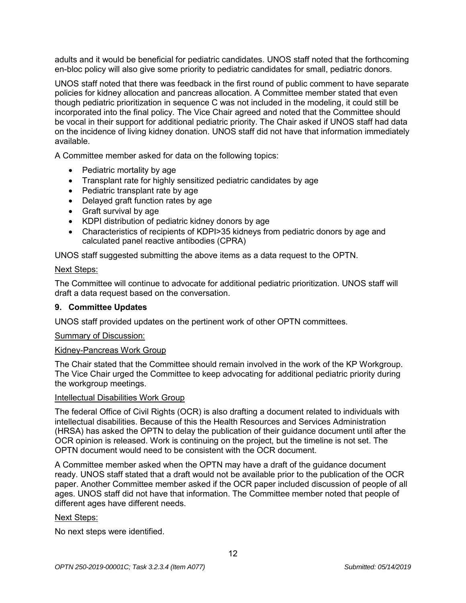adults and it would be beneficial for pediatric candidates. UNOS staff noted that the forthcoming en-bloc policy will also give some priority to pediatric candidates for small, pediatric donors.

UNOS staff noted that there was feedback in the first round of public comment to have separate policies for kidney allocation and pancreas allocation. A Committee member stated that even though pediatric prioritization in sequence C was not included in the modeling, it could still be incorporated into the final policy. The Vice Chair agreed and noted that the Committee should be vocal in their support for additional pediatric priority. The Chair asked if UNOS staff had data on the incidence of living kidney donation. UNOS staff did not have that information immediately available.

A Committee member asked for data on the following topics:

- Pediatric mortality by age
- Transplant rate for highly sensitized pediatric candidates by age
- Pediatric transplant rate by age
- Delayed graft function rates by age
- Graft survival by age
- KDPI distribution of pediatric kidney donors by age
- Characteristics of recipients of KDPI>35 kidneys from pediatric donors by age and calculated panel reactive antibodies (CPRA)

UNOS staff suggested submitting the above items as a data request to the OPTN.

#### Next Steps:

The Committee will continue to advocate for additional pediatric prioritization. UNOS staff will draft a data request based on the conversation.

#### **9. Committee Updates**

UNOS staff provided updates on the pertinent work of other OPTN committees.

#### Summary of Discussion:

#### Kidney-Pancreas Work Group

The Chair stated that the Committee should remain involved in the work of the KP Workgroup. The Vice Chair urged the Committee to keep advocating for additional pediatric priority during the workgroup meetings.

#### **Intellectual Disabilities Work Group**

The federal Office of Civil Rights (OCR) is also drafting a document related to individuals with intellectual disabilities. Because of this the Health Resources and Services Administration (HRSA) has asked the OPTN to delay the publication of their guidance document until after the OCR opinion is released. Work is continuing on the project, but the timeline is not set. The OPTN document would need to be consistent with the OCR document.

A Committee member asked when the OPTN may have a draft of the guidance document ready. UNOS staff stated that a draft would not be available prior to the publication of the OCR paper. Another Committee member asked if the OCR paper included discussion of people of all ages. UNOS staff did not have that information. The Committee member noted that people of different ages have different needs.

#### Next Steps:

No next steps were identified.